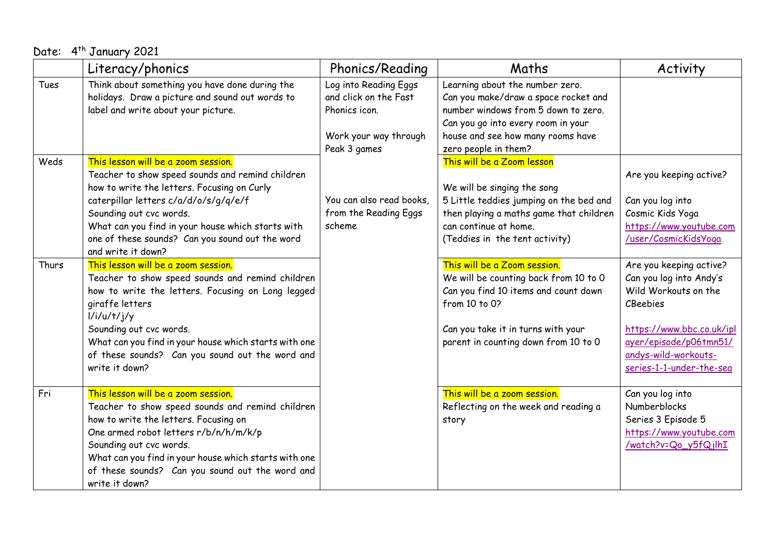| Date: 4 <sup>th</sup> January 2021 |                                                                                                                                                                                                                                                                                                                                          |                                                                                                          |                                                                                                                                                                                                                   |                                                                                                                                                                                                          |
|------------------------------------|------------------------------------------------------------------------------------------------------------------------------------------------------------------------------------------------------------------------------------------------------------------------------------------------------------------------------------------|----------------------------------------------------------------------------------------------------------|-------------------------------------------------------------------------------------------------------------------------------------------------------------------------------------------------------------------|----------------------------------------------------------------------------------------------------------------------------------------------------------------------------------------------------------|
|                                    | Literacy/phonics                                                                                                                                                                                                                                                                                                                         | Phonics/Reading                                                                                          | Maths                                                                                                                                                                                                             | Activity                                                                                                                                                                                                 |
| Tues                               | Think about something you have done during the<br>holidays. Draw a picture and sound out words to<br>label and write about your picture.                                                                                                                                                                                                 | Log into Reading Eggs<br>and click on the Fast<br>Phonics icon.<br>Work your way through<br>Peak 3 games | Learning about the number zero.<br>Can you make/draw a space rocket and<br>number windows from 5 down to zero.<br>Can you go into every room in your<br>house and see how many rooms have<br>zero people in them? |                                                                                                                                                                                                          |
| Weds                               | This lesson will be a zoom session.<br>Teacher to show speed sounds and remind children<br>how to write the letters. Focusing on Curly<br>caterpillar letters c/a/d/o/s/g/q/e/f<br>Sounding out cvc words.<br>What can you find in your house which starts with<br>one of these sounds? Can you sound out the word<br>and write it down? | You can also read books,<br>from the Reading Eggs<br>scheme                                              | This will be a Zoom lesson<br>We will be singing the song<br>5 Little teddies jumping on the bed and<br>then playing a maths game that children<br>can continue at home.<br>(Teddies in the tent activity)        | Are you keeping active?<br>Can you log into<br>Cosmic Kids Yoga<br>https://www.youtube.com<br>/user/CosmicKidsYoga                                                                                       |
| Thurs                              | This lesson will be a zoom session.<br>Teacher to show speed sounds and remind children<br>how to write the letters. Focusing on Long legged<br>giraffe letters<br>1/i/u/t/j/y<br>Sounding out cvc words.<br>What can you find in your house which starts with one<br>of these sounds? Can you sound out the word and<br>write it down?  |                                                                                                          | This will be a Zoom session.<br>We will be counting back from 10 to 0<br>Can you find 10 items and count down<br>from 10 to 0?<br>Can you take it in turns with your<br>parent in counting down from 10 to 0      | Are you keeping active?<br>Can you log into Andy's<br>Wild Workouts on the<br><b>CBeebies</b><br>https://www.bbc.co.uk/ipl<br>ayer/episode/p06tmn51/<br>andys-wild-workouts-<br>series-1-1-under-the-sea |
| Fri                                | This lesson will be a zoom session.<br>Teacher to show speed sounds and remind children<br>how to write the letters. Focusing on<br>One armed robot letters r/b/n/h/m/k/p<br>Sounding out cvc words.<br>What can you find in your house which starts with one<br>of these sounds? Can you sound out the word and<br>write it down?       |                                                                                                          | This will be a zoom session.<br>Reflecting on the week and reading a<br>story                                                                                                                                     | Can you log into<br>Numberblocks<br>Series 3 Episode 5<br>https://www.youtube.com<br>/watch?v=Qo_y5fQjlhI                                                                                                |